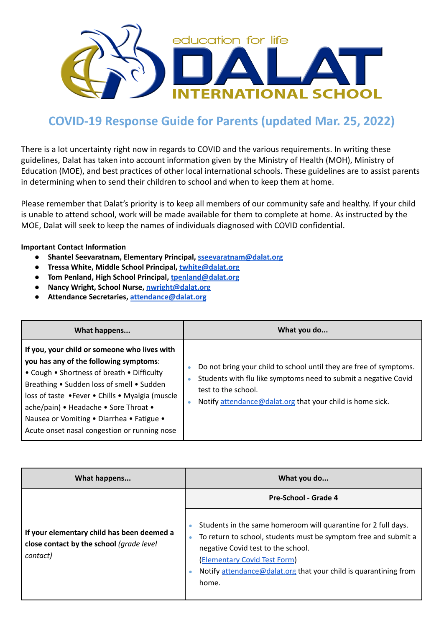

## **COVID-19 Response Guide for Parents (updated Mar. 25, 2022)**

There is a lot uncertainty right now in regards to COVID and the various requirements. In writing these guidelines, Dalat has taken into account information given by the Ministry of Health (MOH), Ministry of Education (MOE), and best practices of other local international schools. These guidelines are to assist parents in determining when to send their children to school and when to keep them at home.

Please remember that Dalat's priority is to keep all members of our community safe and healthy. If your child is unable to attend school, work will be made available for them to complete at home. As instructed by the MOE, Dalat will seek to keep the names of individuals diagnosed with COVID confidential.

## **Important Contact Information**

- **● Shantel Seevaratnam, Elementary Principal, [sseevaratnam@dalat.org](mailto:sseevaratnam@dalat.org)**
- **● Tressa White, Middle School Principal, [twhite@dalat.org](mailto:twhite@dalat.org)**
- **● Tom Penland, High School Principal, [tpenland@dalat.org](mailto:tpenland@dalat.org)**
- **● Nancy Wright, School Nurse, [nwright@dalat.org](mailto:nwright@dalat.org)**
- **● Attendance Secretaries, [attendance@dalat.org](mailto:attendance@dalat.org)**

| What happens                                                                                                                                                                                                                                                                                                                                                               | What you do                                                                                                                                                                                                                                      |
|----------------------------------------------------------------------------------------------------------------------------------------------------------------------------------------------------------------------------------------------------------------------------------------------------------------------------------------------------------------------------|--------------------------------------------------------------------------------------------------------------------------------------------------------------------------------------------------------------------------------------------------|
| If you, your child or someone who lives with<br>you has any of the following symptoms:<br>• Cough • Shortness of breath • Difficulty<br>Breathing • Sudden loss of smell • Sudden<br>loss of taste .Fever . Chills . Myalgia (muscle<br>ache/pain) • Headache • Sore Throat •<br>Nausea or Vomiting . Diarrhea . Fatigue .<br>Acute onset nasal congestion or running nose | Do not bring your child to school until they are free of symptoms.<br>$\bullet$<br>Students with flu like symptoms need to submit a negative Covid<br>۰<br>test to the school.<br>Notify attendance@dalat.org that your child is home sick.<br>٠ |

| What happens                                                                                       | What you do                                                                                                                                                                                                                                                                                |
|----------------------------------------------------------------------------------------------------|--------------------------------------------------------------------------------------------------------------------------------------------------------------------------------------------------------------------------------------------------------------------------------------------|
|                                                                                                    | Pre-School - Grade 4                                                                                                                                                                                                                                                                       |
| If your elementary child has been deemed a<br>close contact by the school (grade level<br>contact) | Students in the same homeroom will quarantine for 2 full days.<br>To return to school, students must be symptom free and submit a<br>negative Covid test to the school.<br><b>Elementary Covid Test Form)</b><br>Notify attendance@dalat.org that your child is quarantining from<br>home. |